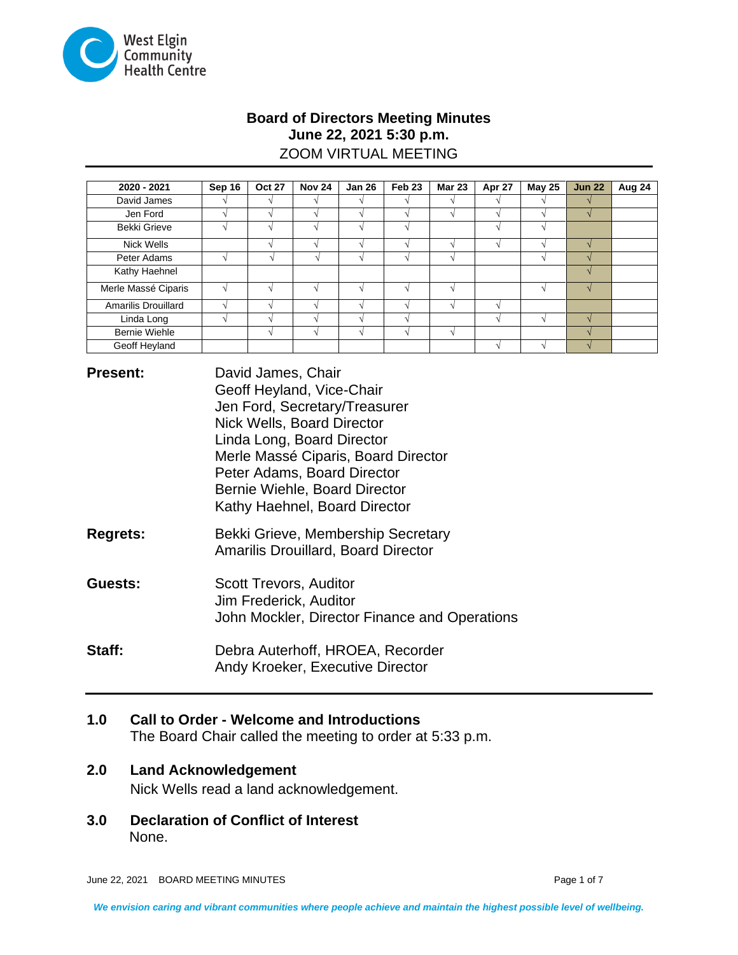

# **Board of Directors Meeting Minutes June 22, 2021 5:30 p.m.** ZOOM VIRTUAL MEETING

| 2020 - 2021          | Sep 16 | <b>Oct 27</b> | <b>Nov 24</b> | <b>Jan 26</b> | Feb <sub>23</sub> | <b>Mar 23</b> | Apr 27 | <b>May 25</b> | <b>Jun 22</b> | Aug 24 |
|----------------------|--------|---------------|---------------|---------------|-------------------|---------------|--------|---------------|---------------|--------|
| David James          |        |               |               |               |                   |               |        |               |               |        |
| Jen Ford             |        |               |               |               |                   |               |        |               |               |        |
| <b>Bekki Grieve</b>  |        |               |               |               |                   |               |        |               |               |        |
| Nick Wells           |        |               |               |               |                   |               |        |               |               |        |
| Peter Adams          |        |               |               |               |                   |               |        |               |               |        |
| Kathy Haehnel        |        |               |               |               |                   |               |        |               |               |        |
| Merle Massé Ciparis  |        |               |               |               |                   |               |        |               |               |        |
| Amarilis Drouillard  |        |               |               |               |                   |               |        |               |               |        |
| Linda Long           |        |               |               |               |                   |               |        |               |               |        |
| <b>Bernie Wiehle</b> |        |               |               |               |                   |               |        |               | $\mathcal{N}$ |        |
| Geoff Heyland        |        |               |               |               |                   |               |        |               |               |        |

**Present:** David James, Chair Geoff Heyland, Vice-Chair Jen Ford, Secretary/Treasurer Nick Wells, Board Director Linda Long, Board Director Merle Massé Ciparis, Board Director Peter Adams, Board Director Bernie Wiehle, Board Director Kathy Haehnel, Board Director

**Regrets:** Bekki Grieve, Membership Secretary Amarilis Drouillard, Board Director

**Guests:** Scott Trevors, Auditor Jim Frederick, Auditor John Mockler, Director Finance and Operations

**Staff:** Debra Auterhoff, HROEA, Recorder Andy Kroeker, Executive Director

# **1.0 Call to Order - Welcome and Introductions**

The Board Chair called the meeting to order at 5:33 p.m.

# **2.0 Land Acknowledgement**

Nick Wells read a land acknowledgement.

**3.0 Declaration of Conflict of Interest** None.

June 22, 2021 BOARD MEETING MINUTES **Page 1 of 7** and 7 and 7 and 7 and 7 and 7 and 7 and 7 and 7 and 7 and 7 and 7 and 7 and 7 and 7 and 7 and 7 and 7 and 7 and 7 and 7 and 7 and 7 and 7 and 7 and 7 and 7 and 7 and 7 and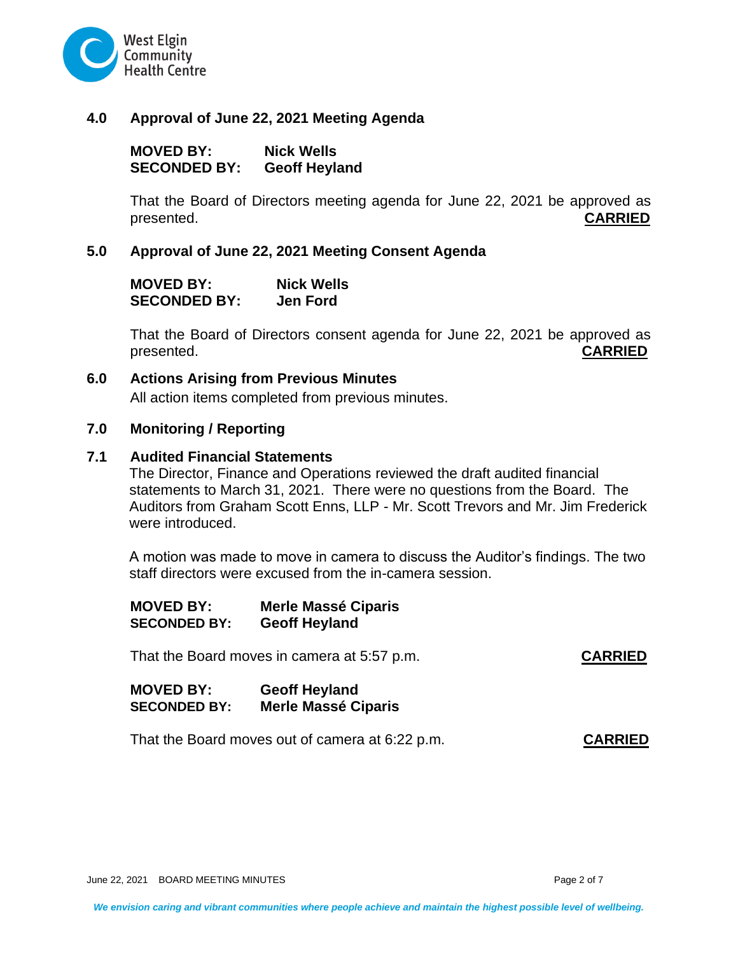

#### **4.0 Approval of June 22, 2021 Meeting Agenda**

**MOVED BY: Nick Wells SECONDED BY: Geoff Heyland**

That the Board of Directors meeting agenda for June 22, 2021 be approved as presented. **CARRIED**

### **5.0 Approval of June 22, 2021 Meeting Consent Agenda**

| <b>MOVED BY:</b>    | <b>Nick Wells</b> |
|---------------------|-------------------|
| <b>SECONDED BY:</b> | <b>Jen Ford</b>   |

That the Board of Directors consent agenda for June 22, 2021 be approved as presented. **CARRIED**

#### **6.0 Actions Arising from Previous Minutes**

All action items completed from previous minutes.

#### **7.0 Monitoring / Reporting**

#### **7.1 Audited Financial Statements**

The Director, Finance and Operations reviewed the draft audited financial statements to March 31, 2021. There were no questions from the Board. The Auditors from Graham Scott Enns, LLP - Mr. Scott Trevors and Mr. Jim Frederick were introduced.

A motion was made to move in camera to discuss the Auditor's findings. The two staff directors were excused from the in-camera session.

| <b>MOVED BY:</b>    | <b>Merle Massé Ciparis</b> |
|---------------------|----------------------------|
| <b>SECONDED BY:</b> | <b>Geoff Heyland</b>       |

That the Board moves in camera at 5:57 p.m. **CARRIED**

**MOVED BY: Geoff Heyland SECONDED BY: Merle Massé Ciparis**

That the Board moves out of camera at 6:22 p.m. **CARRIED**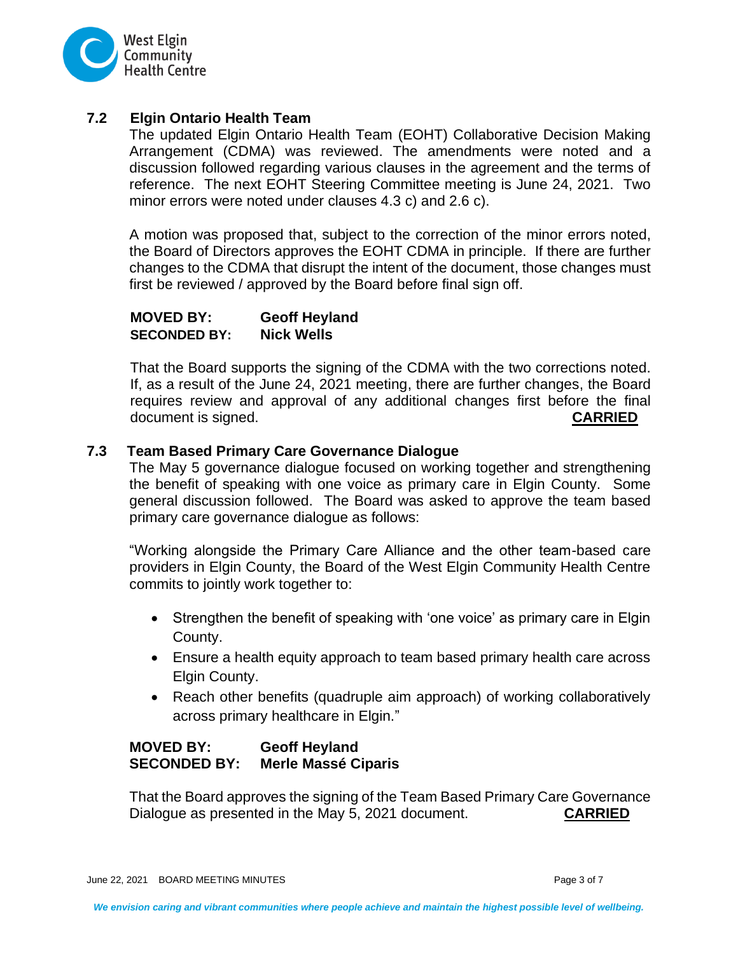

### **7.2 Elgin Ontario Health Team**

The updated Elgin Ontario Health Team (EOHT) Collaborative Decision Making Arrangement (CDMA) was reviewed. The amendments were noted and a discussion followed regarding various clauses in the agreement and the terms of reference. The next EOHT Steering Committee meeting is June 24, 2021. Two minor errors were noted under clauses 4.3 c) and 2.6 c).

A motion was proposed that, subject to the correction of the minor errors noted, the Board of Directors approves the EOHT CDMA in principle. If there are further changes to the CDMA that disrupt the intent of the document, those changes must first be reviewed / approved by the Board before final sign off.

#### **MOVED BY: Geoff Heyland SECONDED BY: Nick Wells**

That the Board supports the signing of the CDMA with the two corrections noted. If, as a result of the June 24, 2021 meeting, there are further changes, the Board requires review and approval of any additional changes first before the final document is signed. **CARRIED**

### **7.3 Team Based Primary Care Governance Dialogue**

The May 5 governance dialogue focused on working together and strengthening the benefit of speaking with one voice as primary care in Elgin County. Some general discussion followed. The Board was asked to approve the team based primary care governance dialogue as follows:

"Working alongside the Primary Care Alliance and the other team-based care providers in Elgin County, the Board of the West Elgin Community Health Centre commits to jointly work together to:

- Strengthen the benefit of speaking with 'one voice' as primary care in Elgin County.
- Ensure a health equity approach to team based primary health care across Elgin County.
- Reach other benefits (quadruple aim approach) of working collaboratively across primary healthcare in Elgin."

### **MOVED BY: Geoff Heyland SECONDED BY: Merle Massé Ciparis**

That the Board approves the signing of the Team Based Primary Care Governance Dialogue as presented in the May 5, 2021 document. **CARRIED**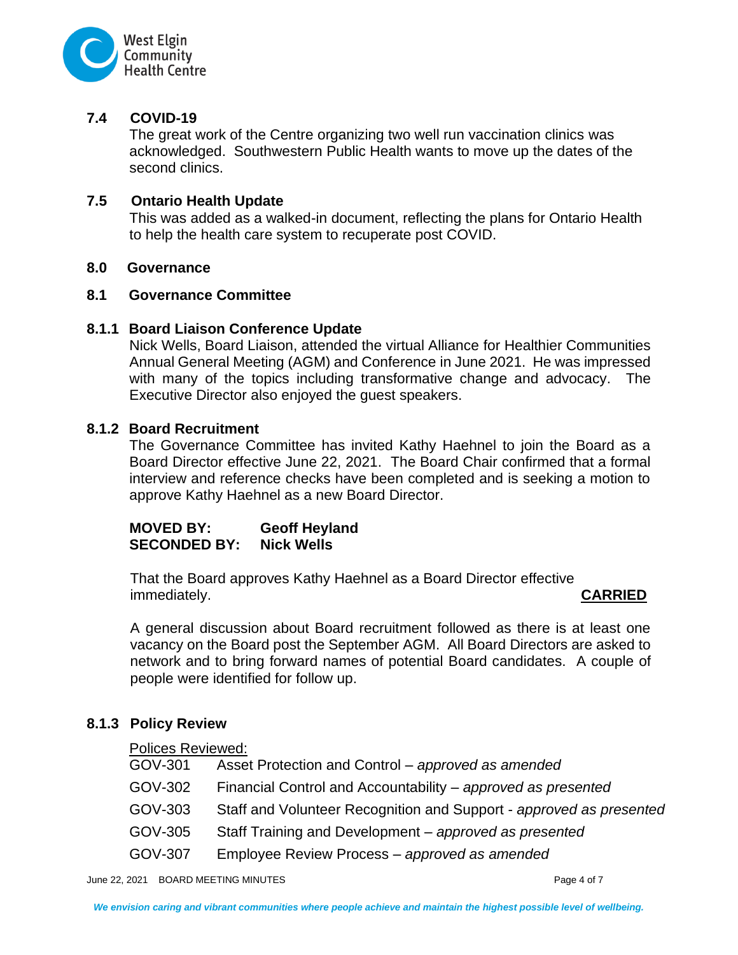

# **7.4 COVID-19**

The great work of the Centre organizing two well run vaccination clinics was acknowledged. Southwestern Public Health wants to move up the dates of the second clinics.

### **7.5 Ontario Health Update**

This was added as a walked-in document, reflecting the plans for Ontario Health to help the health care system to recuperate post COVID.

#### **8.0 Governance**

### **8.1 Governance Committee**

### **8.1.1 Board Liaison Conference Update**

Nick Wells, Board Liaison, attended the virtual Alliance for Healthier Communities Annual General Meeting (AGM) and Conference in June 2021. He was impressed with many of the topics including transformative change and advocacy. The Executive Director also enjoyed the guest speakers.

### **8.1.2 Board Recruitment**

The Governance Committee has invited Kathy Haehnel to join the Board as a Board Director effective June 22, 2021. The Board Chair confirmed that a formal interview and reference checks have been completed and is seeking a motion to approve Kathy Haehnel as a new Board Director.

**MOVED BY: Geoff Heyland SECONDED BY: Nick Wells**

That the Board approves Kathy Haehnel as a Board Director effective immediately. **CARRIED**

A general discussion about Board recruitment followed as there is at least one vacancy on the Board post the September AGM. All Board Directors are asked to network and to bring forward names of potential Board candidates. A couple of people were identified for follow up.

# **8.1.3 Policy Review**

#### Polices Reviewed:

| GOV-301 | Asset Protection and Control – approved as amended                  |
|---------|---------------------------------------------------------------------|
| GOV-302 | Financial Control and Accountability – approved as presented        |
| GOV-303 | Staff and Volunteer Recognition and Support - approved as presented |
| GOV-305 | Staff Training and Development – approved as presented              |
| GOV-307 | Employee Review Process – approved as amended                       |

June 22, 2021 BOARD MEETING MINUTES **Page 4 of 7** and 20 and 20 and 20 and 20 and 20 and 20 and 20 and 20 and 20 and 20 and 20 and 20 and 20 and 20 and 20 and 20 and 20 and 20 and 20 and 20 and 20 and 20 and 20 and 20 and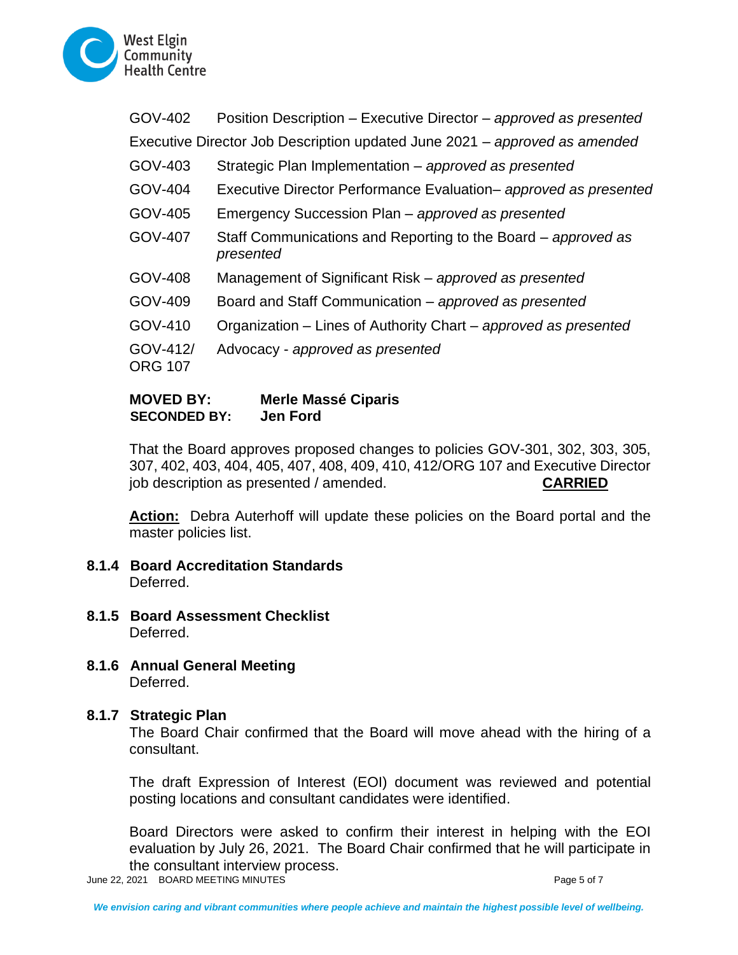

| GOV-402             | Position Description – Executive Director – approved as presented          |
|---------------------|----------------------------------------------------------------------------|
|                     | Executive Director Job Description updated June 2021 – approved as amended |
| GOV-403             | Strategic Plan Implementation - approved as presented                      |
| GOV-404             | Executive Director Performance Evaluation- approved as presented           |
| GOV-405             | Emergency Succession Plan - approved as presented                          |
| GOV-407             | Staff Communications and Reporting to the Board – approved as<br>presented |
| GOV-408             | Management of Significant Risk – approved as presented                     |
| GOV-409             | Board and Staff Communication - approved as presented                      |
| GOV-410             | Organization – Lines of Authority Chart – approved as presented            |
| GOV-412/<br>ORG 107 | Advocacy - approved as presented                                           |
|                     |                                                                            |

# **MOVED BY: Merle Massé Ciparis SECONDED BY: Jen Ford**

That the Board approves proposed changes to policies GOV-301, 302, 303, 305, 307, 402, 403, 404, 405, 407, 408, 409, 410, 412/ORG 107 and Executive Director job description as presented / amended. **CARRIED**

**Action:** Debra Auterhoff will update these policies on the Board portal and the master policies list.

- **8.1.4 Board Accreditation Standards** Deferred.
- **8.1.5 Board Assessment Checklist** Deferred.
- **8.1.6 Annual General Meeting** Deferred.

# **8.1.7 Strategic Plan**

The Board Chair confirmed that the Board will move ahead with the hiring of a consultant.

The draft Expression of Interest (EOI) document was reviewed and potential posting locations and consultant candidates were identified.

Board Directors were asked to confirm their interest in helping with the EOI evaluation by July 26, 2021. The Board Chair confirmed that he will participate in the consultant interview process.

June 22, 2021 BOARD MEETING MINUTES **Page 5 of 7** and 20 and 20 and 20 and 20 and 20 and 20 and 20 and 20 and 20 and 20 and 20 and 20 and 20 and 20 and 20 and 20 and 20 and 20 and 20 and 20 and 20 and 20 and 20 and 20 and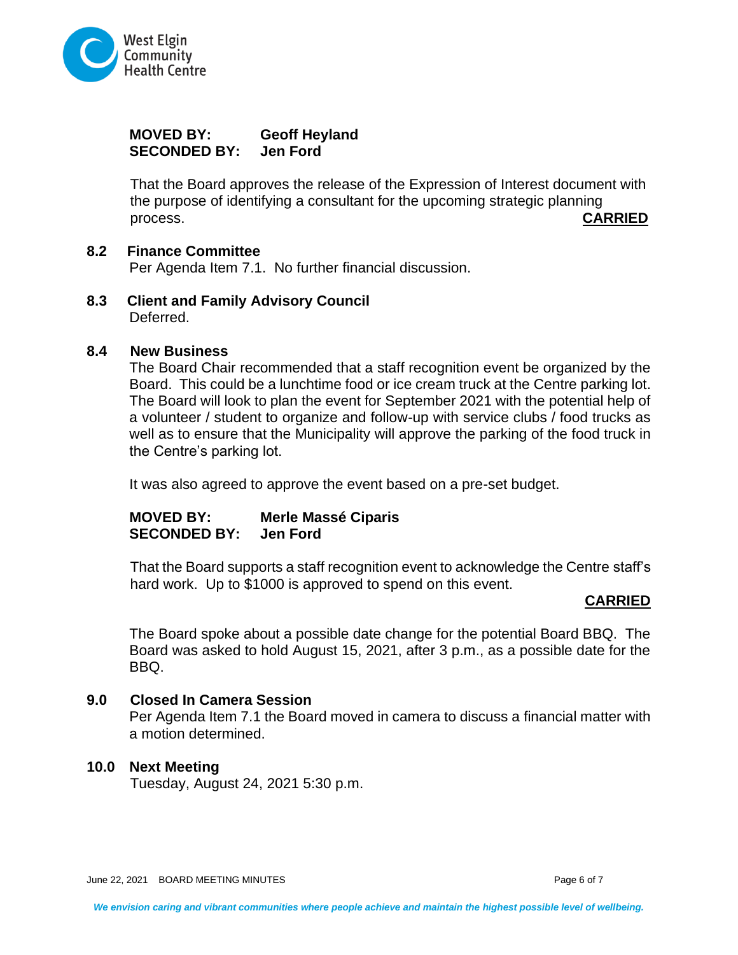

# **MOVED BY: Geoff Heyland SECONDED BY: Jen Ford**

That the Board approves the release of the Expression of Interest document with the purpose of identifying a consultant for the upcoming strategic planning process. **CARRIED**

# **8.2 Finance Committee**

Per Agenda Item 7.1. No further financial discussion.

**8.3 Client and Family Advisory Council** Deferred.

#### **8.4 New Business**

The Board Chair recommended that a staff recognition event be organized by the Board. This could be a lunchtime food or ice cream truck at the Centre parking lot. The Board will look to plan the event for September 2021 with the potential help of a volunteer / student to organize and follow-up with service clubs / food trucks as well as to ensure that the Municipality will approve the parking of the food truck in the Centre's parking lot.

It was also agreed to approve the event based on a pre-set budget.

# **MOVED BY: Merle Massé Ciparis SECONDED BY: Jen Ford**

That the Board supports a staff recognition event to acknowledge the Centre staff's hard work. Up to \$1000 is approved to spend on this event.

#### **CARRIED**

The Board spoke about a possible date change for the potential Board BBQ. The Board was asked to hold August 15, 2021, after 3 p.m., as a possible date for the BBQ.

#### **9.0 Closed In Camera Session**

Per Agenda Item 7.1 the Board moved in camera to discuss a financial matter with a motion determined.

#### **10.0 Next Meeting**

Tuesday, August 24, 2021 5:30 p.m.